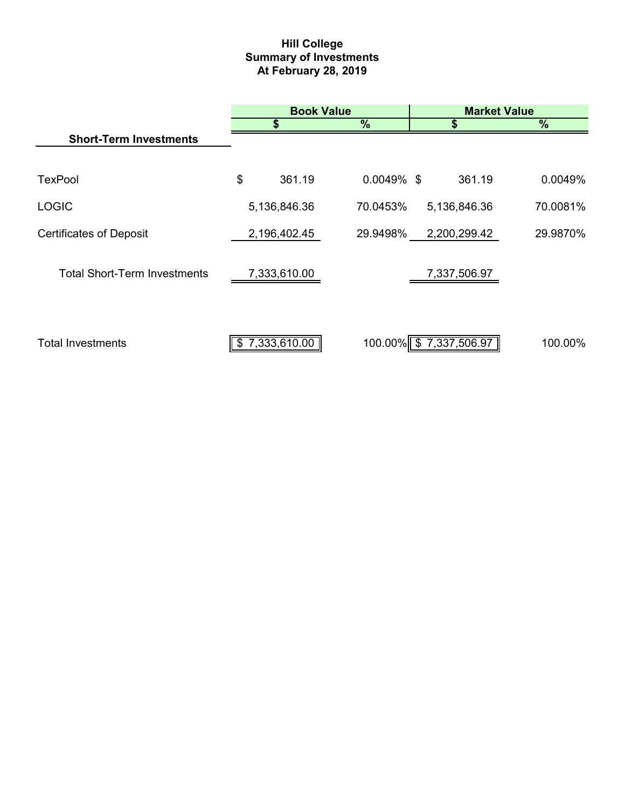# **Hill College Summary of Investments At February 28, 2019**

|                                     |    | <b>Book Value</b> |               | <b>Market Value</b>    |               |  |  |
|-------------------------------------|----|-------------------|---------------|------------------------|---------------|--|--|
|                                     |    | \$                | $\frac{9}{6}$ | \$                     | $\frac{0}{0}$ |  |  |
| <b>Short-Term Investments</b>       |    |                   |               |                        |               |  |  |
|                                     |    |                   |               |                        |               |  |  |
| <b>TexPool</b>                      | \$ | 361.19            | $0.0049\%$ \$ | 361.19                 | 0.0049%       |  |  |
| <b>LOGIC</b>                        |    | 5,136,846.36      | 70.0453%      | 5,136,846.36           | 70.0081%      |  |  |
| <b>Certificates of Deposit</b>      |    | 2,196,402.45      | 29.9498%      | 2,200,299.42           | 29.9870%      |  |  |
|                                     |    |                   |               |                        |               |  |  |
| <b>Total Short-Term Investments</b> |    | 7,333,610.00      |               | 7,337,506.97           |               |  |  |
|                                     |    |                   |               |                        |               |  |  |
| <b>Total Investments</b>            |    | 7,333,610.00      |               | 100.00% \$7,337,506.97 | 100.00%       |  |  |
|                                     | S  |                   |               |                        |               |  |  |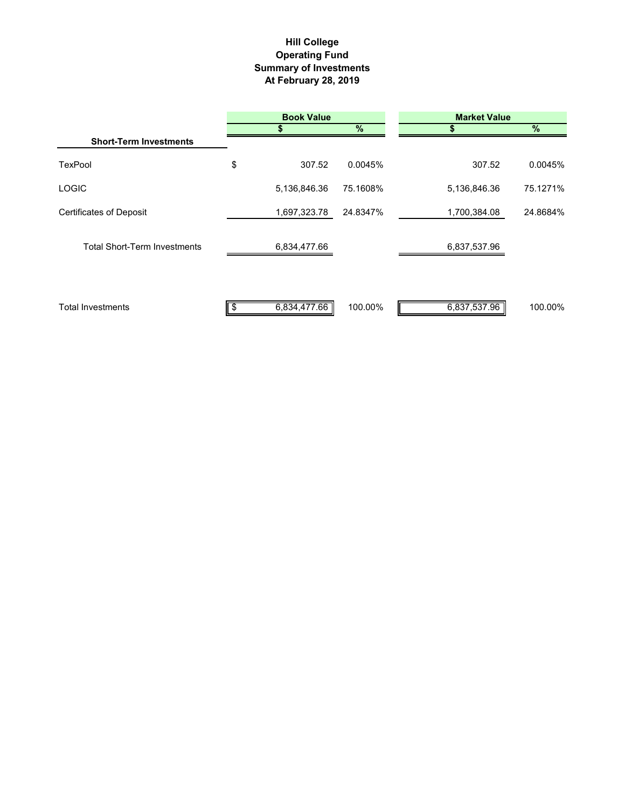## **Hill College Operating Fund Summary of Investments At February 28, 2019**

|                                     | <b>Book Value</b> |          | <b>Market Value</b> |          |  |
|-------------------------------------|-------------------|----------|---------------------|----------|--|
|                                     |                   | %        |                     | $\%$     |  |
| <b>Short-Term Investments</b>       |                   |          |                     |          |  |
| <b>TexPool</b>                      | \$<br>307.52      | 0.0045%  | 307.52              | 0.0045%  |  |
| <b>LOGIC</b>                        | 5,136,846.36      | 75.1608% | 5,136,846.36        | 75.1271% |  |
| <b>Certificates of Deposit</b>      | 1,697,323.78      | 24.8347% | 1,700,384.08        | 24.8684% |  |
| <b>Total Short-Term Investments</b> | 6,834,477.66      |          | 6,837,537.96        |          |  |
| <b>Total Investments</b>            | 6,834,477.66<br>S | 100.00%  | 6,837,537.96        | 100.00%  |  |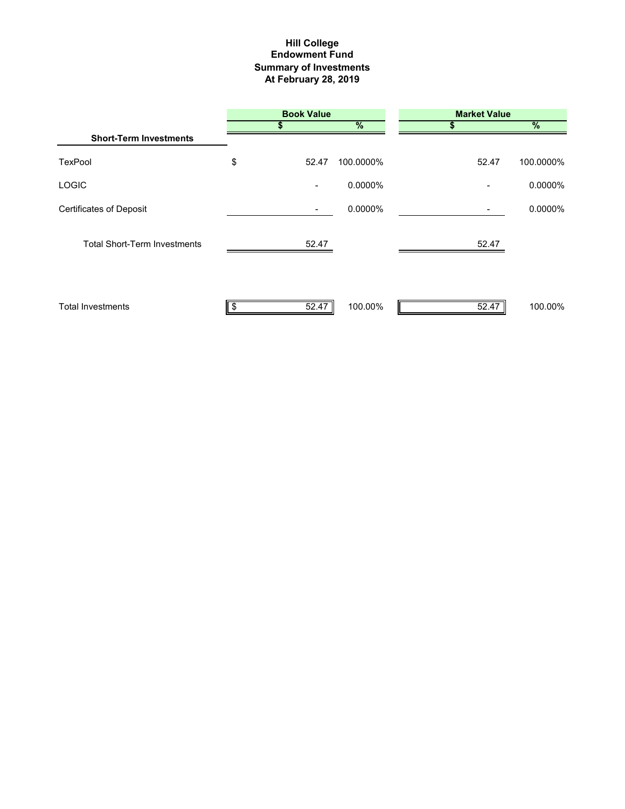## **Hill College Endowment Fund Summary of Investments At February 28, 2019**

|                                     | <b>Book Value</b>        |               | <b>Market Value</b> |               |  |
|-------------------------------------|--------------------------|---------------|---------------------|---------------|--|
|                                     |                          | $\frac{9}{6}$ |                     | $\frac{9}{6}$ |  |
| <b>Short-Term Investments</b>       |                          |               |                     |               |  |
| TexPool                             | \$<br>52.47              | 100.0000%     | 52.47               | 100.0000%     |  |
| <b>LOGIC</b>                        | $\overline{\phantom{a}}$ | 0.0000%       |                     | 0.0000%       |  |
| <b>Certificates of Deposit</b>      |                          | 0.0000%       |                     | 0.0000%       |  |
| <b>Total Short-Term Investments</b> | 52.47                    |               | 52.47               |               |  |
| <b>Total Investments</b>            | 52.47                    | 100.00%       | 52.47               | 100.00%       |  |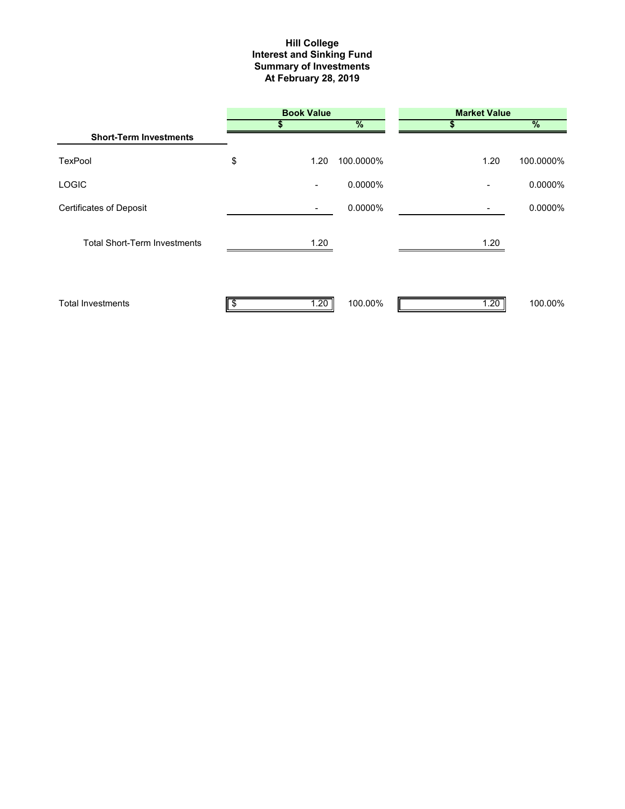#### **Interest and Sinking Fund Summary of Investments At February 28, 2019 Hill College**

|                                     | <b>Book Value</b>        |           | <b>Market Value</b> |               |  |
|-------------------------------------|--------------------------|-----------|---------------------|---------------|--|
|                                     |                          | %         | S                   | $\frac{9}{6}$ |  |
| <b>Short-Term Investments</b>       |                          |           |                     |               |  |
| TexPool                             | \$<br>1.20               | 100.0000% | 1.20                | 100.0000%     |  |
| <b>LOGIC</b>                        | $\overline{\phantom{a}}$ | 0.0000%   |                     | 0.0000%       |  |
| <b>Certificates of Deposit</b>      | $\overline{\phantom{a}}$ | 0.0000%   |                     | 0.0000%       |  |
| <b>Total Short-Term Investments</b> | 1.20                     |           | 1.20                |               |  |
| <b>Total Investments</b>            | 1.20                     | 100.00%   | 1.20                | 100.00%       |  |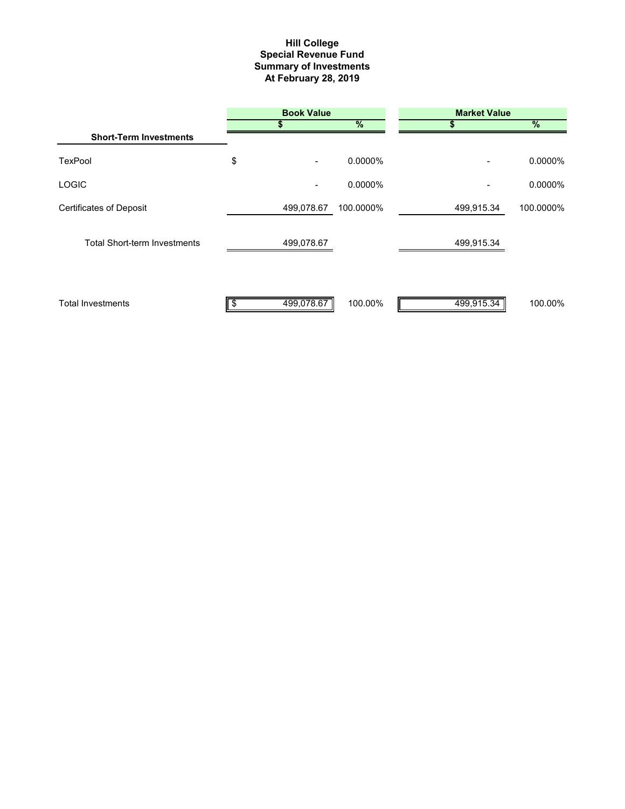#### **Summary of Investments At February 28, 2019 Special Revenue Fund Hill College**

|                                     | <b>Book Value</b>                  |           | <b>Market Value</b>      |            |  |
|-------------------------------------|------------------------------------|-----------|--------------------------|------------|--|
|                                     |                                    | %         |                          | %          |  |
| <b>Short-Term Investments</b>       |                                    |           |                          |            |  |
| TexPool                             | \$<br>$\qquad \qquad \blacksquare$ | 0.0000%   | $\overline{\phantom{0}}$ | 0.0000%    |  |
| <b>LOGIC</b>                        | ٠                                  | 0.0000%   |                          | $0.0000\%$ |  |
| <b>Certificates of Deposit</b>      | 499,078.67                         | 100.0000% | 499,915.34               | 100.0000%  |  |
| <b>Total Short-term Investments</b> | 499,078.67                         |           | 499,915.34               |            |  |
| <b>Total Investments</b>            | 499,078.67                         | 100.00%   | 499,915.34               | 100.00%    |  |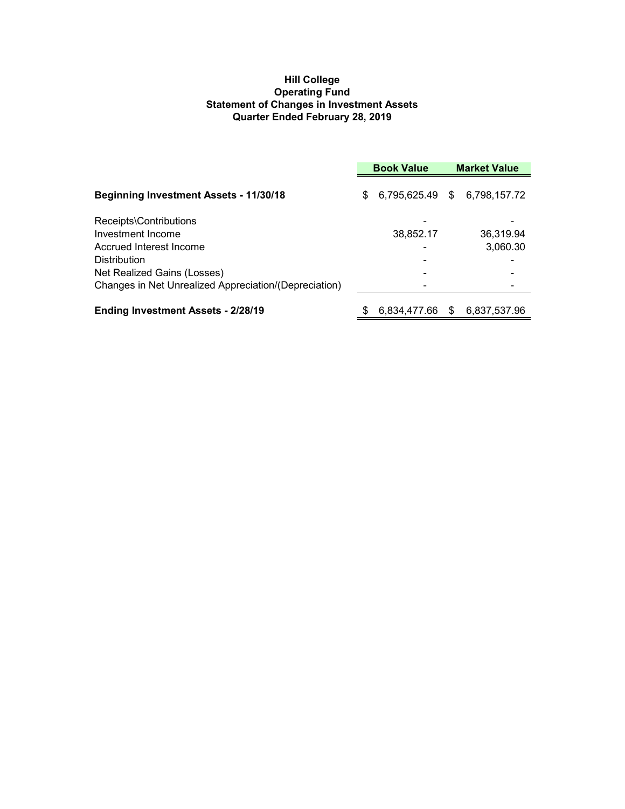## **Hill College Operating Fund Statement of Changes in Investment Assets Quarter Ended February 28, 2019**

|                                                       | <b>Book Value</b> |              |     | <b>Market Value</b>          |  |
|-------------------------------------------------------|-------------------|--------------|-----|------------------------------|--|
| <b>Beginning Investment Assets - 11/30/18</b>         | \$.               |              |     | 6,795,625.49 \$ 6,798,157.72 |  |
| Receipts\Contributions                                |                   |              |     |                              |  |
| Investment Income                                     |                   | 38,852.17    |     | 36,319.94                    |  |
| Accrued Interest Income                               |                   |              |     | 3,060.30                     |  |
| <b>Distribution</b>                                   |                   |              |     |                              |  |
| Net Realized Gains (Losses)                           |                   |              |     |                              |  |
| Changes in Net Unrealized Appreciation/(Depreciation) |                   |              |     |                              |  |
| <b>Ending Investment Assets - 2/28/19</b>             |                   | 6,834,477.66 | \$. | 6,837,537.96                 |  |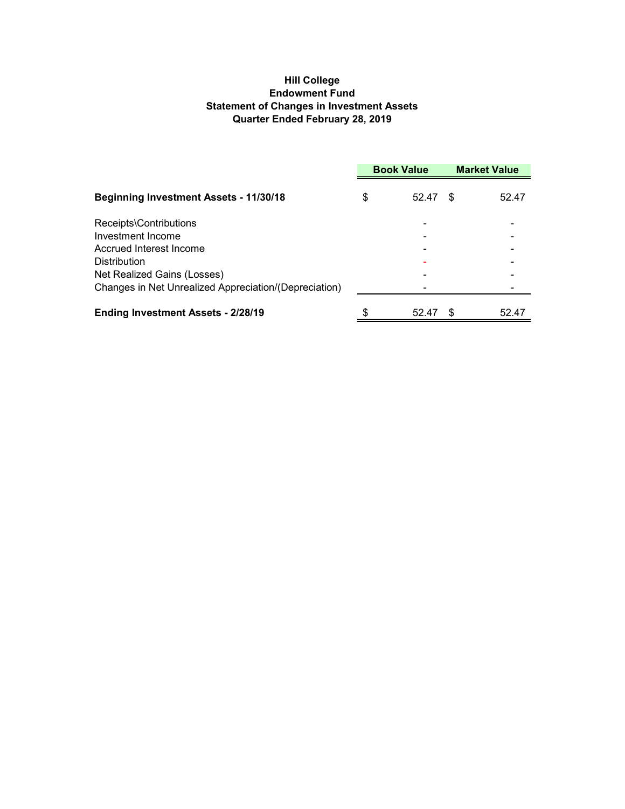## **Hill College Endowment Fund Statement of Changes in Investment Assets Quarter Ended February 28, 2019**

|                                                       | <b>Book Value</b> |       | <b>Market Value</b> |       |
|-------------------------------------------------------|-------------------|-------|---------------------|-------|
| <b>Beginning Investment Assets - 11/30/18</b>         | \$                | 52.47 | S                   | 52.47 |
| Receipts\Contributions                                |                   |       |                     |       |
| Investment Income                                     |                   |       |                     |       |
| Accrued Interest Income                               |                   |       |                     |       |
| <b>Distribution</b>                                   |                   |       |                     |       |
| Net Realized Gains (Losses)                           |                   |       |                     |       |
| Changes in Net Unrealized Appreciation/(Depreciation) |                   |       |                     |       |
| Ending Investment Assets - 2/28/19                    | \$                | 52.47 |                     | 52.47 |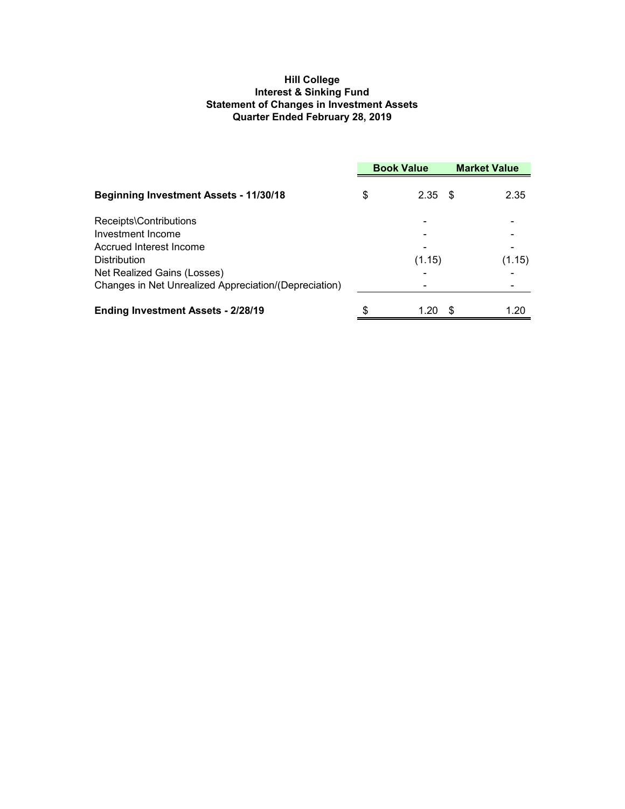## **Hill College Interest & Sinking Fund Statement of Changes in Investment Assets Quarter Ended February 28, 2019**

|                                                                                      |    | <b>Book Value</b> |   | <b>Market Value</b> |  |
|--------------------------------------------------------------------------------------|----|-------------------|---|---------------------|--|
| <b>Beginning Investment Assets - 11/30/18</b>                                        | \$ | $2.35$ \$         |   | 2.35                |  |
| Receipts\Contributions<br>Investment Income                                          |    |                   |   |                     |  |
| Accrued Interest Income<br><b>Distribution</b>                                       |    | (1.15)            |   | (1.15)              |  |
| Net Realized Gains (Losses)<br>Changes in Net Unrealized Appreciation/(Depreciation) |    |                   |   |                     |  |
| <b>Ending Investment Assets - 2/28/19</b>                                            | \$ | 1.20              | S | 1.20                |  |